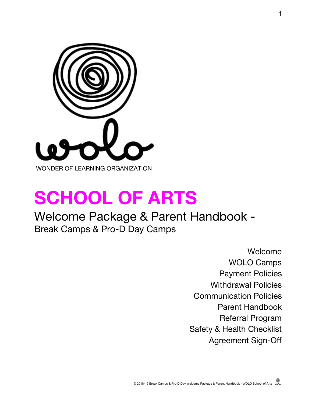

# **SCHOOL OF ARTS**

### Welcome Package & Parent Handbook - Break Camps & Pro-D Day Camps

Welcome WOLO Camps Payment Policies Withdrawal Policies Communication Policies Parent Handbook Referral Program Safety & Health Checklist Agreement Sign-Off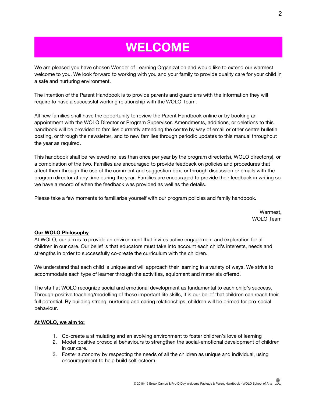## **WELCOME**

We are pleased you have chosen Wonder of Learning Organization and would like to extend our warmest welcome to you. We look forward to working with you and your family to provide quality care for your child in a safe and nurturing environment.

The intention of the Parent Handbook is to provide parents and guardians with the information they will require to have a successful working relationship with the WOLO Team.

All new families shall have the opportunity to review the Parent Handbook online or by booking an appointment with the WOLO Director or Program Supervisor. Amendments, additions, or deletions to this handbook will be provided to families currently attending the centre by way of email or other centre bulletin posting, or through the newsletter, and to new families through periodic updates to this manual throughout the year as required.

This handbook shall be reviewed no less than once per year by the program director(s), WOLO director(s), or a combination of the two. Families are encouraged to provide feedback on policies and procedures that affect them through the use of the comment and suggestion box, or through discussion or emails with the program director at any time during the year. Families are encouraged to provide their feedback in writing so we have a record of when the feedback was provided as well as the details.

Please take a few moments to familiarize yourself with our program policies and family handbook.

Warmest, WOLO Team

#### **Our WOLO Philosophy**

At WOLO, our aim is to provide an environment that invites active engagement and exploration for all children in our care. Our belief is that educators must take into account each child's interests, needs and strengths in order to successfully co-create the curriculum with the children.

We understand that each child is unique and will approach their learning in a variety of ways. We strive to accommodate each type of learner through the activities, equipment and materials offered.

The staff at WOLO recognize social and emotional development as fundamental to each child's success. Through positive teaching/modelling of these important life skills, it is our belief that children can reach their full potential. By building strong, nurturing and caring relationships, children will be primed for pro-social behaviour.

#### **At WOLO, we aim to:**

- 1. Co-create a stimulating and an evolving environment to foster children's love of learning
- 2. Model positive prosocial behaviours to strengthen the social-emotional development of children in our care.
- 3. Foster autonomy by respecting the needs of all the children as unique and individual, using encouragement to help build self-esteem.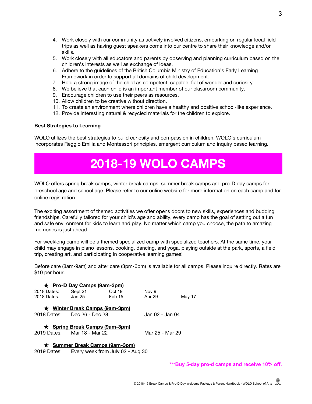- 4. Work closely with our community as actively involved citizens, embarking on regular local field trips as well as having guest speakers come into our centre to share their knowledge and/or skills.
- 5. Work closely with all educators and parents by observing and planning curriculum based on the children's interests as well as exchange of ideas.
- 6. Adhere to the guidelines of the British Columbia Ministry of Education's Early Learning Framework in order to support all domains of child development.
- 7. Hold a strong image of the child as competent, capable, full of wonder and curiosity.
- 8. We believe that each child is an important member of our classroom community.
- 9. Encourage children to use their peers as resources.
- 10. Allow children to be creative without direction.
- 11. To create an environment where children have a healthy and positive school-like experience.
- 12. Provide interesting natural & recycled materials for the children to explore.

#### **Best Strategies to Learning**

WOLO utilizes the best strategies to build curiosity and compassion in children. WOLO's curriculum incorporates Reggio Emilia and Montessori principles, emergent curriculum and inquiry based learning.

### **2018-19 WOLO CAMPS**

WOLO offers spring break camps, winter break camps, summer break camps and pro-D day camps for preschool age and school age. Please refer to our online website for more information on each camp and for online registration.

The exciting assortment of themed activities we offer opens doors to new skills, experiences and budding friendships. Carefully tailored for your child's age and ability, every camp has the goal of setting out a fun and safe environment for kids to learn and play. No matter which camp you choose, the path to amazing memories is just ahead.

For weeklong camp will be a themed specialized camp with specialized teachers. At the same time, your child may engage in piano lessons, cooking, dancing, and yoga, playing outside at the park, sports, a field trip, creating art, and participating in cooperative learning games!

Before care (8am-9am) and after care (3pm-6pm) is available for all camps. Please inquire directly. Rates are \$10 per hour.

|             | ★ Pro-D Day Camps (9am-3pm)    |        |                 |        |
|-------------|--------------------------------|--------|-----------------|--------|
| 2018 Dates: | Sept 21                        | Oct 19 | Nov 9           |        |
| 2018 Dates: | Jan 25                         | Feb 15 | Apr 29          | May 17 |
|             | ★ Winter Break Camps (9am-3pm) |        |                 |        |
| 2018 Dates: | Dec 26 - Dec 28                |        | Jan 02 - Jan 04 |        |
|             | ★ Spring Break Camps (9am-3pm) |        |                 |        |
| 2019 Dates: | Mar 18 - Mar 22                |        | Mar 25 - Mar 29 |        |
|             |                                |        |                 |        |

★ **Summer Break Camps (9am-3pm)**

2019 Dates: Every week from July 02 - Aug 30

**\*\*\*Buy 5-day pro-d camps and receive 10% off.**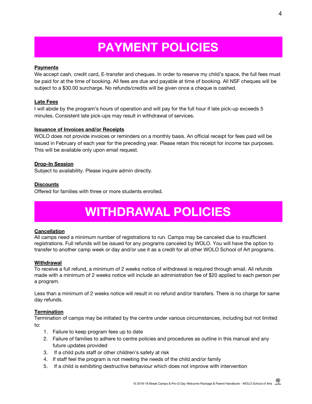## **PAYMENT POLICIES**

#### **Payments**

We accept cash, credit card, E-transfer and cheques. In order to reserve my child's space, the full fees must be paid for at the time of booking. All fees are due and payable at time of booking. All NSF cheques will be subject to a \$30.00 surcharge. No refunds/credits will be given once a cheque is cashed.

#### **Late Fees**

I will abide by the program's hours of operation and will pay for the full hour if late pick-up exceeds 5 minutes. Consistent late pick-ups may result in withdrawal of services.

#### **Issuance of Invoices and/or Receipts**

WOLO does not provide invoices or reminders on a monthly basis. An official receipt for fees paid will be issued in February of each year for the preceding year. Please retain this receipt for income tax purposes. This will be available only upon email request.

#### **Drop-In Session**

Subject to availability. Please inquire admin directly.

#### **Discounts**

Offered for families with three or more students enrolled.

### **WITHDRAWAL POLICIES**

#### **Cancellation**

All camps need a minimum number of registrations to run. Camps may be canceled due to insufficient registrations. Full refunds will be issued for any programs canceled by WOLO. You will have the option to transfer to another camp week or day and/or use it as a credit for all other WOLO School of Art programs.

#### **Withdrawal**

To receive a full refund, a minimum of 2 weeks notice of withdrawal is required through email. All refunds made with a minimum of 2 weeks notice will include an administration fee of \$20 applied to each person per a program.

Less than a minimum of 2 weeks notice will result in no refund and/or transfers. There is no charge for same day refunds.

#### **Termination**

Termination of camps may be initiated by the centre under various circumstances, including but not limited to:

- 1. Failure to keep program fees up to date
- 2. Failure of families to adhere to centre policies and procedures as outline in this manual and any future updates provided
- 3. If a child puts staff or other children's safety at risk
- 4. If staff feel the program is not meeting the needs of the child and/or family
- 5. If a child is exhibiting destructive behaviour which does not improve with intervention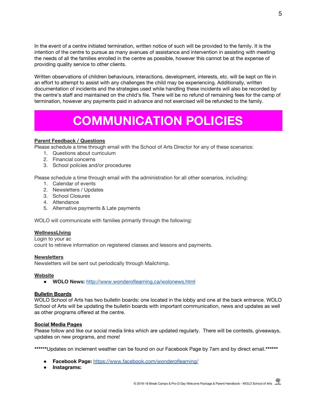In the event of a centre initiated termination, written notice of such will be provided to the family. It is the intention of the centre to pursue as many avenues of assistance and intervention in assisting with meeting the needs of all the families enrolled in the centre as possible, however this cannot be at the expense of providing quality service to other clients.

Written observations of children behaviours, interactions, development, interests, etc. will be kept on file in an effort to attempt to assist with any challenges the child may be experiencing. Additionally, written documentation of incidents and the strategies used while handling these incidents will also be recorded by the centre's staff and maintained on the child's file. There will be no refund of remaining fees for the camp of termination, however any payments paid in advance and not exercised will be refunded to the family.

### **COMMUNICATION POLICIES**

#### **Parent Feedback / Questions**

Please schedule a time through email with the School of Arts Director for any of these scenarios:

- 1. Questions about curriculum
- 2. Financial concerns
- 3. School policies and/or procedures

Please schedule a time through email with the administration for all other scenarios, including:

- 1. Calendar of events
- 2. Newsletters / Updates
- 3. School Closures
- 4. Attendance
- 5. Alternative payments & Late payments

WOLO will communicate with families primarily through the following:

#### **WellnessLIving**

Login to your ac count to retrieve information on registered classes and lessons and payments.

#### **Newsletters**

Newsletters will be sent out periodically through Mailchimp.

#### **Website**

● **WOLO News:** <http://www.wonderoflearning.ca/wolonews.html>

#### **Bulletin Boards**

WOLO School of Arts has two bulletin boards: one located in the lobby and one at the back entrance. WOLO School of Arts will be updating the bulletin boards with important communication, news and updates as well as other programs offered at the centre.

#### **Social Media Pages**

Please follow and like our social media links which are updated regularly. There will be contests, giveaways, updates on new programs, and more!

**\*\*\*\*\*\***Updates on inclement weather can be found on our Facebook Page by 7am and by direct email.**\*\*\*\*\*\***

- **Facebook Page:** <https://www.facebook.com/wonderoflearning/>
- **Instagrams:**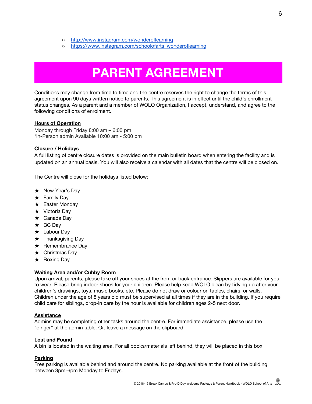- <http://www.instagram.com/wonderoflearning>
- [https://www.instagram.com/schoolofarts\\_wonderoflearning](https://www.instagram.com/schoolofarts_wonderoflearning/)

### **PARENT AGREEMENT**

Conditions may change from time to time and the centre reserves the right to change the terms of this agreement upon 90 days written notice to parents. This agreement is in effect until the child's enrollment status changes. As a parent and a member of WOLO Organization, I accept, understand, and agree to the following conditions of enrolment.

#### **Hours of Operation**

Monday through Friday 8:00 am – 6:00 pm \*In-Person admin Available 10:00 am - 5:00 pm

#### **Closure / Holidays**

A full listing of centre closure dates is provided on the main bulletin board when entering the facility and is updated on an annual basis. You will also receive a calendar with all dates that the centre will be closed on.

The Centre will close for the holidays listed below:

- ★ New Year's Day
- ★ Family Day
- **★** Easter Monday
- ★ Victoria Day
- ★ Canada Day
- ★ BC Day
- ★ Labour Day
- $\star$  Thanksgiving Day
- **★** Remembrance Day
- ★ Christmas Day
- ★ Boxing Day

#### **Waiting Area and/or Cubby Room**

Upon arrival, parents, please take off your shoes at the front or back entrance. Slippers are available for you to wear. Please bring indoor shoes for your children. Please help keep WOLO clean by tidying up after your children's drawings, toys, music books, etc. Please do not draw or colour on tables, chairs, or walls. Children under the age of 8 years old must be supervised at all times if they are in the building. If you require child care for siblings, drop-in care by the hour is available for children ages 2-5 next door.

#### **Assistance**

Admins may be completing other tasks around the centre. For immediate assistance, please use the "dinger" at the admin table. Or, leave a message on the clipboard.

#### **Lost and Found**

A bin is located in the waiting area. For all books/materials left behind, they will be placed in this box

#### **Parking**

Free parking is available behind and around the centre. No parking available at the front of the building between 3pm-6pm Monday to Fridays.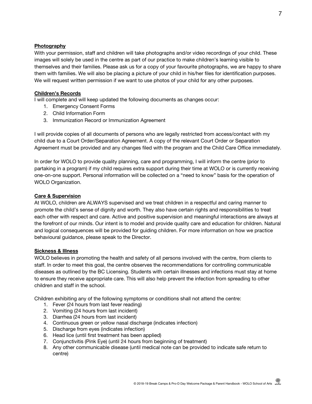#### **Photography**

With your permission, staff and children will take photographs and/or video recordings of your child. These images will solely be used in the centre as part of our practice to make children's learning visible to themselves and their families. Please ask us for a copy of your favourite photographs, we are happy to share them with families. We will also be placing a picture of your child in his/her files for identification purposes. We will request written permission if we want to use photos of your child for any other purposes.

#### **Children's Records**

I will complete and will keep updated the following documents as changes occur:

- 1. Emergency Consent Forms
- 2. Child Information Form
- 3. Immunization Record or Immunization Agreement

I will provide copies of all documents of persons who are legally restricted from access/contact with my child due to a Court Order/Separation Agreement. A copy of the relevant Court Order or Separation Agreement must be provided and any changes filed with the program and the Child Care Office immediately.

In order for WOLO to provide quality planning, care and programming, I will inform the centre (prior to partaking in a program) if my child requires extra support during their time at WOLO or is currently receiving one-on-one support. Personal information will be collected on a "need to know" basis for the operation of WOLO Organization.

#### **Care & Supervision**

At WOLO, children are ALWAYS supervised and we treat children in a respectful and caring manner to promote the child's sense of dignity and worth. They also have certain rights and responsibilities to treat each other with respect and care. Active and positive supervision and meaningful interactions are always at the forefront of our minds. Our intent is to model and provide quality care and education for children. Natural and logical consequences will be provided for guiding children. For more information on how we practice behavioural guidance, please speak to the Director.

#### **Sickness & Illness**

WOLO believes in promoting the health and safety of all persons involved with the centre, from clients to staff. In order to meet this goal, the centre observes the recommendations for controlling communicable diseases as outlined by the BC Licensing. Students with certain illnesses and infections must stay at home to ensure they receive appropriate care. This will also help prevent the infection from spreading to other children and staff in the school.

Children exhibiting any of the following symptoms or conditions shall not attend the centre:

- 1. Fever (24 hours from last fever reading)
- 2. Vomiting (24 hours from last incident)
- 3. Diarrhea (24 hours from last incident)
- 4. Continuous green or yellow nasal discharge (indicates infection)
- 5. Discharge from eyes (indicates infection)
- 6. Head lice (until first treatment has been applied)
- 7. Conjunctivitis (Pink Eye) (until 24 hours from beginning of treatment)
- 8. Any other communicable disease (until medical note can be provided to indicate safe return to centre)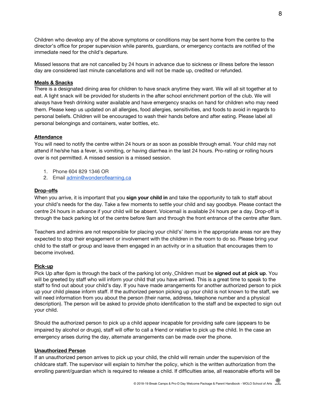Children who develop any of the above symptoms or conditions may be sent home from the centre to the director's office for proper supervision while parents, guardians, or emergency contacts are notified of the immediate need for the child's departure.

Missed lessons that are not cancelled by 24 hours in advance due to sickness or illness before the lesson day are considered last minute cancellations and will not be made up, credited or refunded.

#### **Meals & Snacks**

There is a designated dining area for children to have snack anytime they want. We will all sit together at to eat. A light snack will be provided for students in the after school enrichment portion of the club. We will always have fresh drinking water available and have emergency snacks on hand for children who may need them. Please keep us updated on all allergies, food allergies, sensitivities, and foods to avoid in regards to personal beliefs. Children will be encouraged to wash their hands before and after eating. Please label all personal belongings and containers, water bottles, etc.

#### **Attendance**

You will need to notify the centre within 24 hours or as soon as possible through email. Your child may not attend if he/she has a fever, is vomiting, or having diarrhea in the last 24 hours. Pro-rating or rolling hours over is not permitted. A missed session is a missed session.

- 1. Phone 604 829 1346 OR
- 2. Email [admin@wonderoflearning.ca](mailto:admin@wonderoflearning.ca)

#### **Drop-offs**

When you arrive, it is important that you **sign your child in** and take the opportunity to talk to staff about your child's needs for the day. Take a few moments to settle your child and say goodbye. Please contact the centre 24 hours in advance if your child will be absent. Voicemail is available 24 hours per a day. Drop-off is through the back parking lot of the centre before 9am and through the front entrance of the centre after 9am.

Teachers and admins are not responsible for placing your child's' items in the appropriate areas nor are they expected to stop their engagement or involvement with the children in the room to do so. Please bring your child to the staff or group and leave them engaged in an activity or in a situation that encourages them to become involved.

#### **Pick-up**

Pick Up after 6pm is through the back of the parking lot only. Children must be **signed out at pick up**. You will be greeted by staff who will inform your child that you have arrived. This is a great time to speak to the staff to find out about your child's day. If you have made arrangements for another authorized person to pick up your child please inform staff. If the authorized person picking up your child is not known to the staff, we will need information from you about the person (their name, address, telephone number and a physical description). The person will be asked to provide photo identification to the staff and be expected to sign out your child.

Should the authorized person to pick up a child appear incapable for providing safe care (appears to be impaired by alcohol or drugs), staff will offer to call a friend or relative to pick up the child. In the case an emergency arises during the day, alternate arrangements can be made over the phone.

#### **Unauthorized Person**

If an unauthorized person arrives to pick up your child, the child will remain under the supervision of the childcare staff. The supervisor will explain to him/her the policy, which is the written authorization from the enrolling parent/guardian which is required to release a child. If difficulties arise, all reasonable efforts will be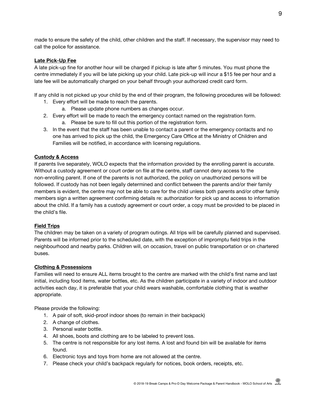made to ensure the safety of the child, other children and the staff. If necessary, the supervisor may need to call the police for assistance.

#### **Late Pick-Up Fee**

A late pick-up fine for another hour will be charged if pickup is late after 5 minutes. You must phone the centre immediately if you will be late picking up your child. Late pick-up will incur a \$15 fee per hour and a late fee will be automatically charged on your behalf through your authorized credit card form.

If any child is not picked up your child by the end of their program, the following procedures will be followed:

- 1. Every effort will be made to reach the parents.
	- a. Please update phone numbers as changes occur.
- 2. Every effort will be made to reach the emergency contact named on the registration form.
	- a. Please be sure to fill out this portion of the registration form.
- 3. In the event that the staff has been unable to contact a parent or the emergency contacts and no one has arrived to pick up the child, the Emergency Care Office at the Ministry of Children and Families will be notified, in accordance with licensing regulations.

#### **Custody & Access**

If parents live separately, WOLO expects that the information provided by the enrolling parent is accurate. Without a custody agreement or court order on file at the centre, staff cannot deny access to the non-enrolling parent. If one of the parents is not authorized, the policy on unauthorized persons will be followed. If custody has not been legally determined and conflict between the parents and/or their family members is evident, the centre may not be able to care for the child unless both parents and/or other family members sign a written agreement confirming details re: authorization for pick up and access to information about the child. If a family has a custody agreement or court order, a copy must be provided to be placed in the child's file.

#### **Field Trips**

The children may be taken on a variety of program outings. All trips will be carefully planned and supervised. Parents will be informed prior to the scheduled date, with the exception of impromptu field trips in the neighbourhood and nearby parks. Children will, on occasion, travel on public transportation or on chartered buses.

#### **Clothing & Possessions**

Families will need to ensure ALL items brought to the centre are marked with the child's first name and last initial, including food items, water bottles, etc. As the children participate in a variety of indoor and outdoor activities each day, it is preferable that your child wears washable, comfortable clothing that is weather appropriate.

Please provide the following:

- 1. A pair of soft, skid-proof indoor shoes (to remain in their backpack)
- 2. A change of clothes.
- 3. Personal water bottle.
- 4. All shoes, boots and clothing are to be labeled to prevent loss.
- 5. The centre is not responsible for any lost items. A lost and found bin will be available for items found.
- 6. Electronic toys and toys from home are not allowed at the centre.
- 7. Please check your child's backpack regularly for notices, book orders, receipts, etc.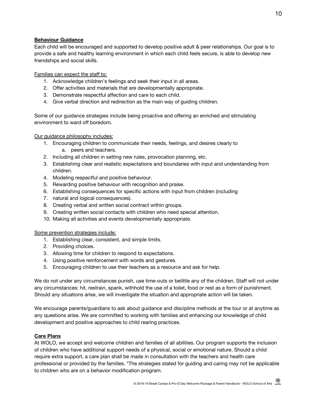#### **Behaviour Guidance**

Each child will be encouraged and supported to develop positive adult & peer relationships. Our goal is to provide a safe and healthy learning environment in which each child feels secure, is able to develop new friendships and social skills.

Families can expect the staff to:

- 1. Acknowledge children's feelings and seek their input in all areas.
- 2. Offer activities and materials that are developmentally appropriate.
- 3. Demonstrate respectful affection and care to each child.
- 4. Give verbal direction and redirection as the main way of guiding children.

Some of our guidance strategies include being proactive and offering an enriched and stimulating environment to ward off boredom.

Our guidance philosophy includes:

- 1. Encouraging children to communicate their needs, feelings, and desires clearly to a. peers and teachers.
- 2. Including all children in setting new rules, provocation planning, etc.
- 3. Establishing clear and realistic expectations and boundaries with input and understanding from children.
- 4. Modeling respectful and positive behaviour.
- 5. Rewarding positive behaviour with recognition and praise.
- 6. Establishing consequences for specific actions with input from children (including
- 7. natural and logical consequences).
- 8. Creating verbal and written social contract within groups.
- 9. Creating written social contacts with children who need special attention.
- 10. Making all activities and events developmentally appropriate.

Some prevention strategies include:

- 1. Establishing clear, consistent, and simple limits.
- 2. Providing choices.
- 3. Allowing time for children to respond to expectations.
- 4. Using positive reinforcement with words and gestures.
- 5. Encouraging children to use their teachers as a resource and ask for help.

We do not under any circumstances punish, use time-outs or belittle any of the children. Staff will not under any circumstances: hit, restrain, spank, withhold the use of a toilet, food or rest as a form of punishment. Should any situations arise, we will investigate the situation and appropriate action will be taken.

We encourage parents/guardians to ask about guidance and discipline methods at the tour or at anytime as any questions arise. We are committed to working with families and enhancing our knowledge of child development and positive approaches to child rearing practices.

#### **Care Plans**

At WOLO, we accept and welcome children and families of all abilities. Our program supports the inclusion of children who have additional support needs of a physical, social or emotional nature. Should a child require extra support, a care plan shall be made in consultation with the teachers and health care professional or provided by the families. \*The strategies stated for guiding and caring may not be applicable to children who are on a behavior modification program.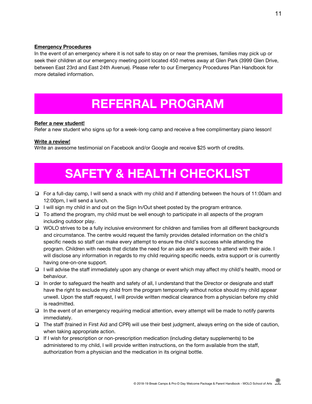#### **Emergency Procedures**

In the event of an emergency where it is not safe to stay on or near the premises, families may pick up or seek their children at our emergency meeting point located 450 metres away at Glen Park (3999 Glen Drive, between East 23rd and East 24th Avenue). Please refer to our Emergency Procedures Plan Handbook for more detailed information.

### **REFERRAL PROGRAM**

#### **Refer a new student!**

Refer a new student who signs up for a week-long camp and receive a free complimentary piano lesson!

#### **Write a review!**

Write an awesome testimonial on Facebook and/or Google and receive \$25 worth of credits.

# **SAFETY & HEALTH CHECKLIST**

- ❏ For a full-day camp, I will send a snack with my child and if attending between the hours of 11:00am and 12:00pm, I will send a lunch.
- ❏ I will sign my child in and out on the Sign In/Out sheet posted by the program entrance.
- ❏ To attend the program, my child must be well enough to participate in all aspects of the program including outdoor play.
- ❏ WOLO strives to be a fully inclusive environment for children and families from all different backgrounds and circumstance. The centre would request the family provides detailed information on the child's specific needs so staff can make every attempt to ensure the child's success while attending the program. Children with needs that dictate the need for an aide are welcome to attend with their aide. I will disclose any information in regards to my child requiring specific needs, extra support or is currently having one-on-one support.
- ❏ I will advise the staff immediately upon any change or event which may affect my child's health, mood or behaviour.
- ❏ In order to safeguard the health and safety of all, I understand that the Director or designate and staff have the right to exclude my child from the program temporarily without notice should my child appear unwell. Upon the staff request, I will provide written medical clearance from a physician before my child is readmitted.
- ❏ In the event of an emergency requiring medical attention, every attempt will be made to notify parents immediately.
- ❏ The staff (trained in First Aid and CPR) will use their best judgment, always erring on the side of caution, when taking appropriate action.
- ❏ If I wish for prescription or non-prescription medication (including dietary supplements) to be administered to my child, I will provide written instructions, on the form available from the staff, authorization from a physician and the medication in its original bottle.